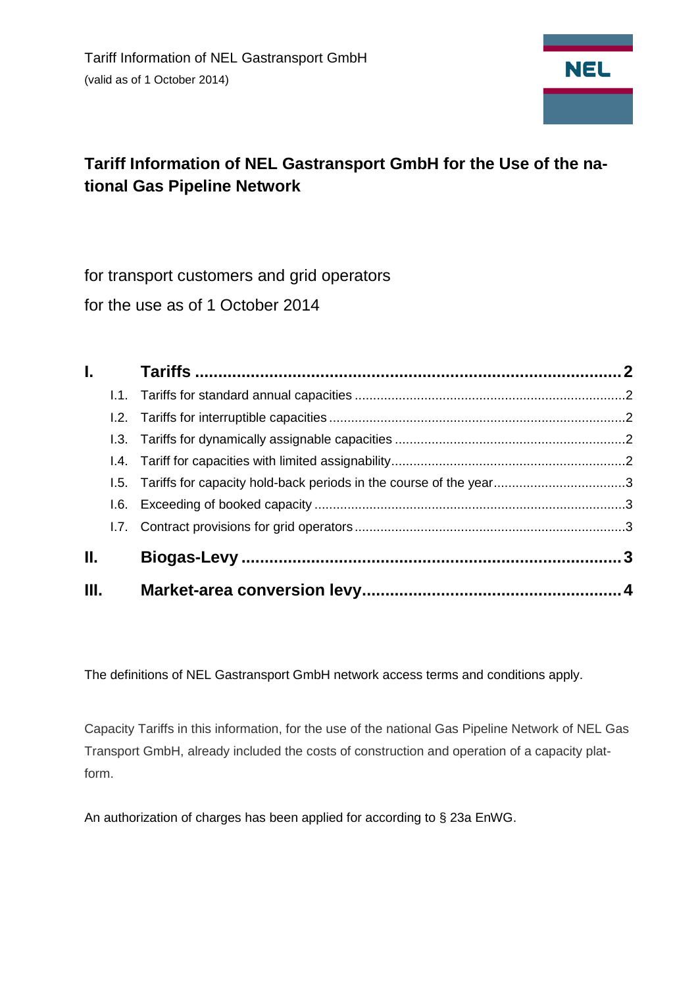

# **Tariff Information of NEL Gastransport GmbH for the Use of the national Gas Pipeline Network**

for transport customers and grid operators for the use as of 1 October 2014

|     | L. L. |  |
|-----|-------|--|
|     |       |  |
|     |       |  |
|     |       |  |
|     |       |  |
|     |       |  |
|     |       |  |
|     |       |  |
| II. |       |  |
| Ш.  |       |  |

The definitions of NEL Gastransport GmbH network access terms and conditions apply.

Capacity Tariffs in this information, for the use of the national Gas Pipeline Network of NEL Gas Transport GmbH, already included the costs of construction and operation of a capacity platform.

An authorization of charges has been applied for according to § 23a EnWG.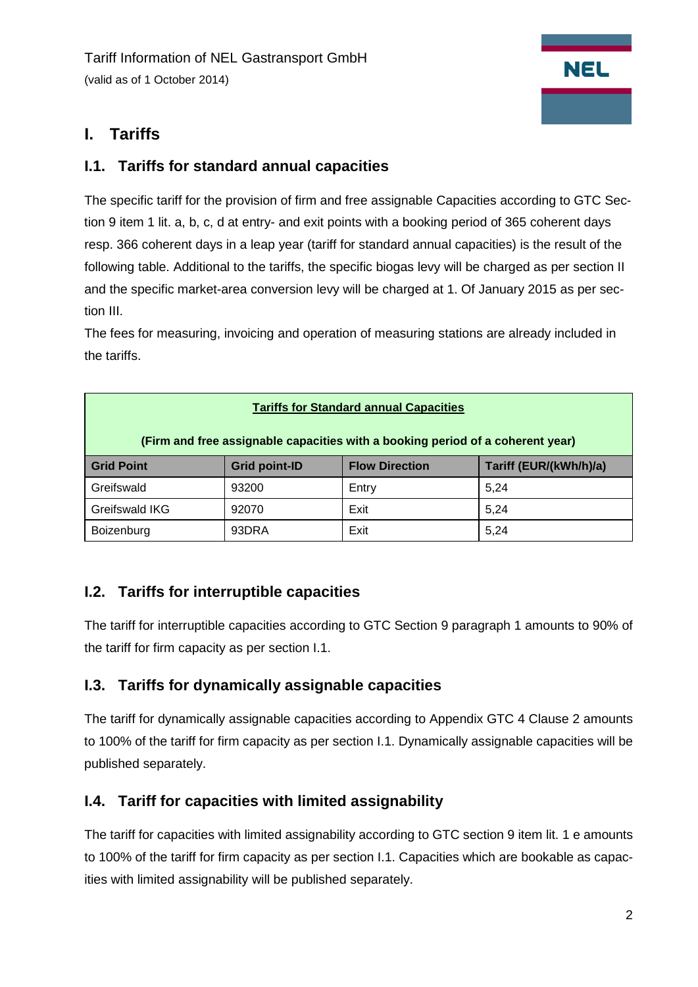# <span id="page-1-0"></span>**I. Tariffs**

### <span id="page-1-1"></span>**I.1. Tariffs for standard annual capacities**

The specific tariff for the provision of firm and free assignable Capacities according to GTC Section 9 item 1 lit. a, b, c, d at entry- and exit points with a booking period of 365 coherent days resp. 366 coherent days in a leap year (tariff for standard annual capacities) is the result of the following table. Additional to the tariffs, the specific biogas levy will be charged as per section II and the specific market-area conversion levy will be charged at 1. Of January 2015 as per section III.

The fees for measuring, invoicing and operation of measuring stations are already included in the tariffs.

| <b>Tariffs for Standard annual Capacities</b>                                  |                      |                       |                        |  |  |  |
|--------------------------------------------------------------------------------|----------------------|-----------------------|------------------------|--|--|--|
| (Firm and free assignable capacities with a booking period of a coherent year) |                      |                       |                        |  |  |  |
| <b>Grid Point</b>                                                              | <b>Grid point-ID</b> | <b>Flow Direction</b> | Tariff (EUR/(kWh/h)/a) |  |  |  |
| Greifswald                                                                     | 93200                | Entry                 | 5,24                   |  |  |  |
| Greifswald IKG                                                                 | 92070                | Exit                  | 5,24                   |  |  |  |
| Boizenburg                                                                     | 93DRA                | Exit                  | 5,24                   |  |  |  |

### <span id="page-1-2"></span>**I.2. Tariffs for interruptible capacities**

The tariff for interruptible capacities according to GTC Section 9 paragraph 1 amounts to 90% of the tariff for firm capacity as per section I.1.

## <span id="page-1-3"></span>**I.3. Tariffs for dynamically assignable capacities**

The tariff for dynamically assignable capacities according to Appendix GTC 4 Clause 2 amounts to 100% of the tariff for firm capacity as per section I.1. Dynamically assignable capacities will be published separately.

## <span id="page-1-4"></span>**I.4. Tariff for capacities with limited assignability**

The tariff for capacities with limited assignability according to GTC section 9 item lit. 1 e amounts to 100% of the tariff for firm capacity as per section I.1. Capacities which are bookable as capacities with limited assignability will be published separately.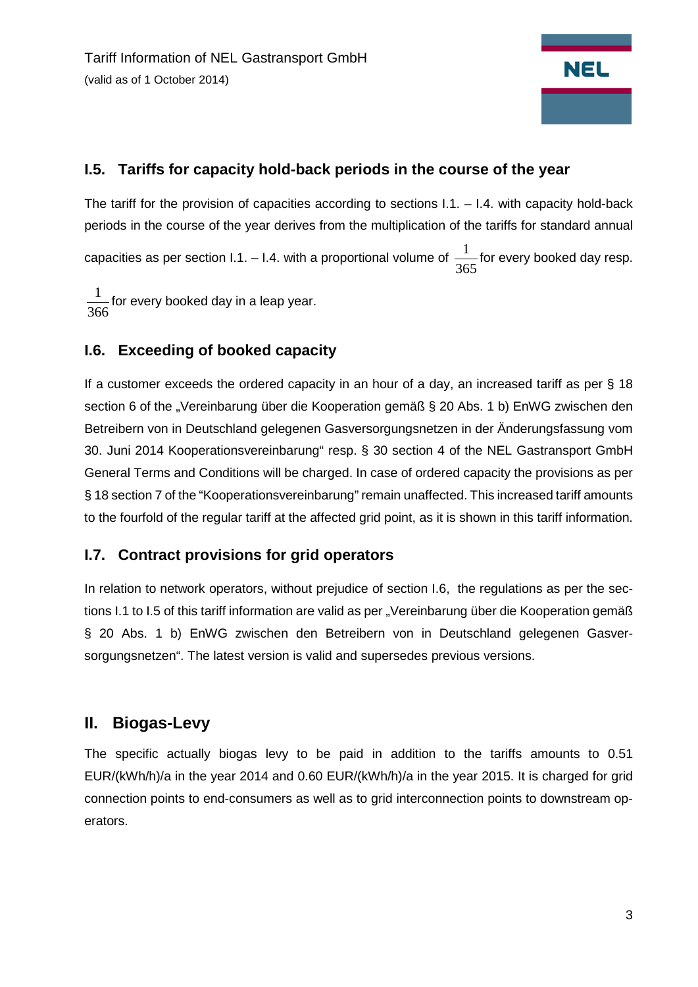# **NEL**

## <span id="page-2-0"></span>**I.5. Tariffs for capacity hold-back periods in the course of the year**

The tariff for the provision of capacities according to sections  $1.1 - 1.4$ . with capacity hold-back periods in the course of the year derives from the multiplication of the tariffs for standard annual capacities as per section I.1. – I.4. with a proportional volume of  $\frac{1}{365}$  $\frac{1}{65}$  for every booked day resp.

366  $\frac{1}{\epsilon}$  for every booked day in a leap year.

#### <span id="page-2-1"></span>**I.6. Exceeding of booked capacity**

If a customer exceeds the ordered capacity in an hour of a day, an increased tariff as per § 18 section 6 of the "Vereinbarung über die Kooperation gemäß § 20 Abs. 1 b) EnWG zwischen den Betreibern von in Deutschland gelegenen Gasversorgungsnetzen in der Änderungsfassung vom 30. Juni 2014 Kooperationsvereinbarung" resp. § 30 section 4 of the NEL Gastransport GmbH General Terms and Conditions will be charged. In case of ordered capacity the provisions as per § 18 section 7 of the "Kooperationsvereinbarung" remain unaffected. This increased tariff amounts to the fourfold of the regular tariff at the affected grid point, as it is shown in this tariff information.

### <span id="page-2-2"></span>**I.7. Contract provisions for grid operators**

In relation to network operators, without prejudice of section I.6, the regulations as per the sections I.1 to I.5 of this tariff information are valid as per "Vereinbarung über die Kooperation gemäß § 20 Abs. 1 b) EnWG zwischen den Betreibern von in Deutschland gelegenen Gasversorgungsnetzen". The latest version is valid and supersedes previous versions.

# <span id="page-2-3"></span>**II. Biogas-Levy**

The specific actually biogas levy to be paid in addition to the tariffs amounts to 0.51 EUR/(kWh/h)/a in the year 2014 and 0.60 EUR/(kWh/h)/a in the year 2015. It is charged for grid connection points to end-consumers as well as to grid interconnection points to downstream operators.